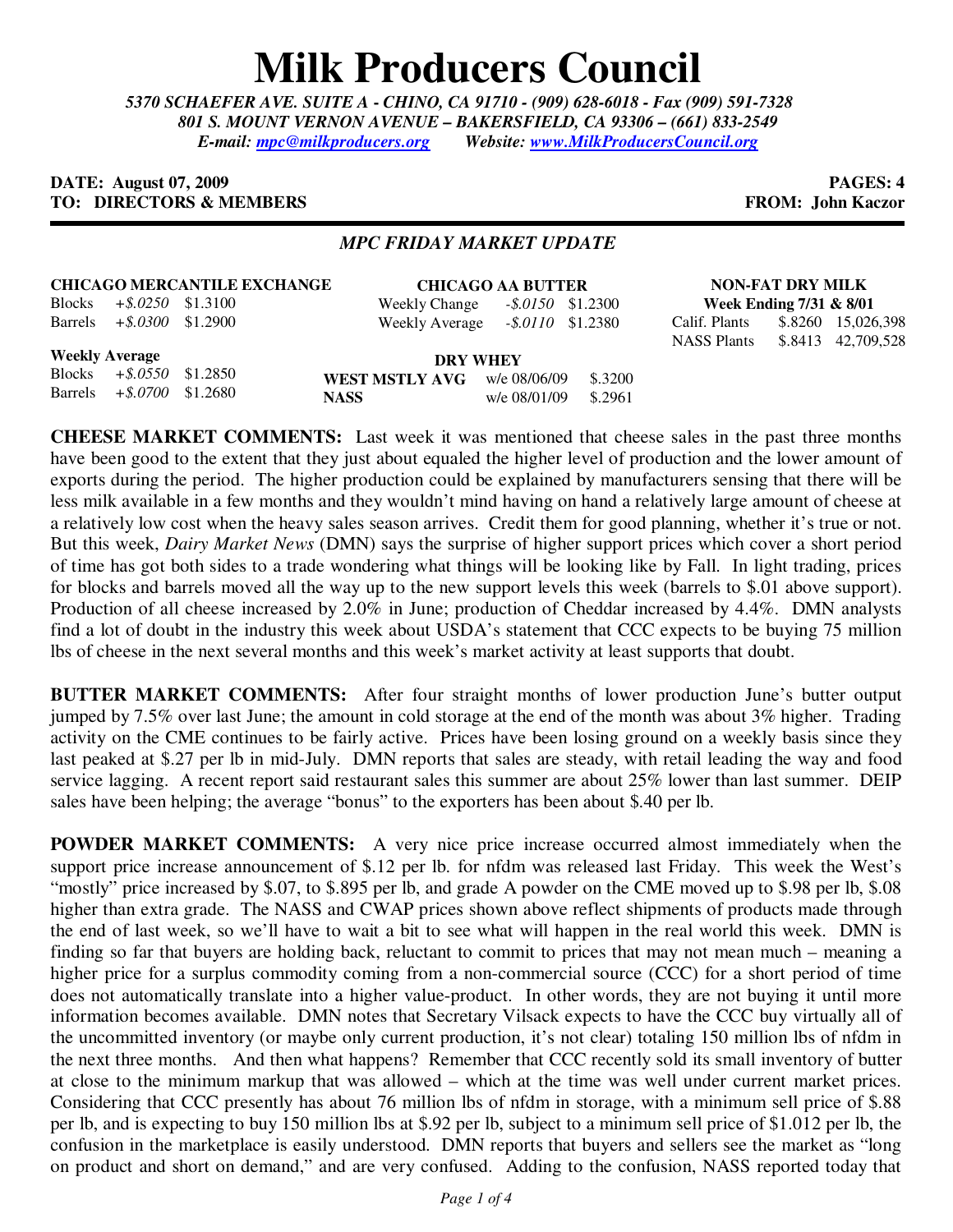## **Milk Producers Council**

*5370 SCHAEFER AVE. SUITE A* **-** *CHINO, CA 91710 - (909) 628-6018 - Fax (909) 591-7328 801 S. MOUNT VERNON AVENUE – BAKERSFIELD, CA 93306 – (661) 833-2549 E-mail: mpc@milkproducers.org Website: www.MilkProducersCouncil.org*

## **DATE: August 07, 2009 PAGES: 4 TO: DIRECTORS & MEMBERS FROM: John Kaczor**

## *MPC FRIDAY MARKET UPDATE*

| Week Ending 7/31 & 8/01          |  |
|----------------------------------|--|
| Calif. Plants \$.8260 15,026,398 |  |
| NASS Plants \$.8413 42,709,528   |  |
|                                  |  |
|                                  |  |
|                                  |  |
|                                  |  |
|                                  |  |

**CHEESE MARKET COMMENTS:** Last week it was mentioned that cheese sales in the past three months have been good to the extent that they just about equaled the higher level of production and the lower amount of exports during the period. The higher production could be explained by manufacturers sensing that there will be less milk available in a few months and they wouldn't mind having on hand a relatively large amount of cheese at a relatively low cost when the heavy sales season arrives. Credit them for good planning, whether it's true or not. But this week, *Dairy Market News* (DMN) says the surprise of higher support prices which cover a short period of time has got both sides to a trade wondering what things will be looking like by Fall. In light trading, prices for blocks and barrels moved all the way up to the new support levels this week (barrels to \$.01 above support). Production of all cheese increased by 2.0% in June; production of Cheddar increased by 4.4%. DMN analysts find a lot of doubt in the industry this week about USDA's statement that CCC expects to be buying 75 million lbs of cheese in the next several months and this week's market activity at least supports that doubt.

**BUTTER MARKET COMMENTS:** After four straight months of lower production June's butter output jumped by 7.5% over last June; the amount in cold storage at the end of the month was about 3% higher. Trading activity on the CME continues to be fairly active. Prices have been losing ground on a weekly basis since they last peaked at \$.27 per lb in mid-July. DMN reports that sales are steady, with retail leading the way and food service lagging. A recent report said restaurant sales this summer are about 25% lower than last summer. DEIP sales have been helping; the average "bonus" to the exporters has been about \$.40 per lb.

**POWDER MARKET COMMENTS:** A very nice price increase occurred almost immediately when the support price increase announcement of \$.12 per lb. for nfdm was released last Friday. This week the West's "mostly" price increased by \$.07, to \$.895 per lb, and grade A powder on the CME moved up to \$.98 per lb, \$.08 higher than extra grade. The NASS and CWAP prices shown above reflect shipments of products made through the end of last week, so we'll have to wait a bit to see what will happen in the real world this week. DMN is finding so far that buyers are holding back, reluctant to commit to prices that may not mean much – meaning a higher price for a surplus commodity coming from a non-commercial source (CCC) for a short period of time does not automatically translate into a higher value-product. In other words, they are not buying it until more information becomes available. DMN notes that Secretary Vilsack expects to have the CCC buy virtually all of the uncommitted inventory (or maybe only current production, it's not clear) totaling 150 million lbs of nfdm in the next three months. And then what happens? Remember that CCC recently sold its small inventory of butter at close to the minimum markup that was allowed – which at the time was well under current market prices. Considering that CCC presently has about 76 million lbs of nfdm in storage, with a minimum sell price of \$.88 per lb, and is expecting to buy 150 million lbs at \$.92 per lb, subject to a minimum sell price of \$1.012 per lb, the confusion in the marketplace is easily understood. DMN reports that buyers and sellers see the market as "long on product and short on demand," and are very confused. Adding to the confusion, NASS reported today that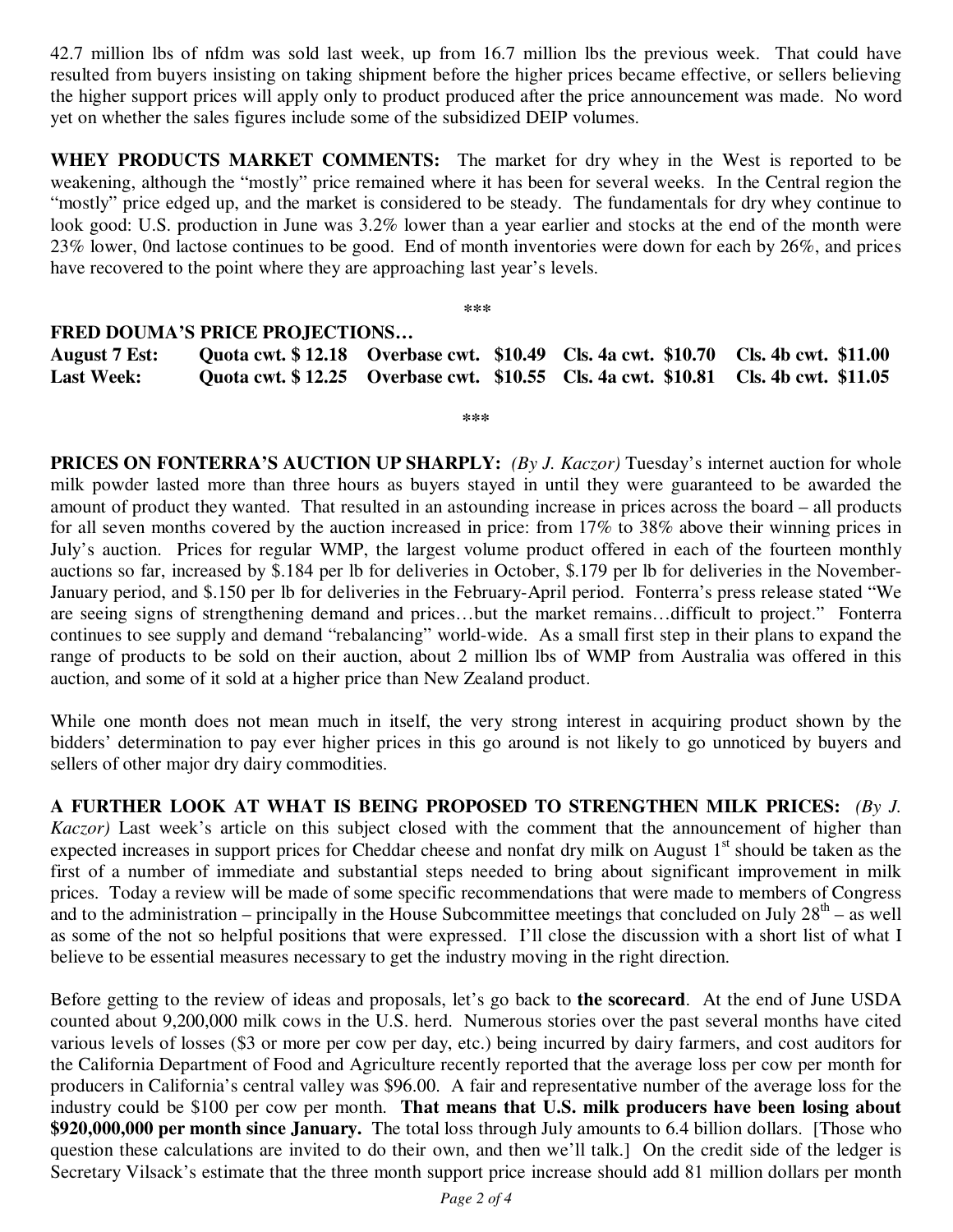42.7 million lbs of nfdm was sold last week, up from 16.7 million lbs the previous week. That could have resulted from buyers insisting on taking shipment before the higher prices became effective, or sellers believing the higher support prices will apply only to product produced after the price announcement was made. No word yet on whether the sales figures include some of the subsidized DEIP volumes.

**WHEY PRODUCTS MARKET COMMENTS:** The market for dry whey in the West is reported to be weakening, although the "mostly" price remained where it has been for several weeks. In the Central region the "mostly" price edged up, and the market is considered to be steady. The fundamentals for dry whey continue to look good: U.S. production in June was 3.2% lower than a year earlier and stocks at the end of the month were 23% lower, 0nd lactose continues to be good. End of month inventories were down for each by 26%, and prices have recovered to the point where they are approaching last year's levels.

**\*\*\*** 

## **FRED DOUMA'S PRICE PROJECTIONS…**

**August 7 Est: Quota cwt. \$ 12.18 Overbase cwt. \$10.49 Cls. 4a cwt. \$10.70 Cls. 4b cwt. \$11.00 Last Week: Quota cwt. \$ 12.25 Overbase cwt. \$10.55 Cls. 4a cwt. \$10.81 Cls. 4b cwt. \$11.05** 

**\*\*\*** 

**PRICES ON FONTERRA'S AUCTION UP SHARPLY:** *(By J. Kaczor)* Tuesday's internet auction for whole milk powder lasted more than three hours as buyers stayed in until they were guaranteed to be awarded the amount of product they wanted. That resulted in an astounding increase in prices across the board – all products for all seven months covered by the auction increased in price: from 17% to 38% above their winning prices in July's auction. Prices for regular WMP, the largest volume product offered in each of the fourteen monthly auctions so far, increased by \$.184 per lb for deliveries in October, \$.179 per lb for deliveries in the November-January period, and \$.150 per lb for deliveries in the February-April period. Fonterra's press release stated "We are seeing signs of strengthening demand and prices…but the market remains…difficult to project." Fonterra continues to see supply and demand "rebalancing" world-wide. As a small first step in their plans to expand the range of products to be sold on their auction, about 2 million lbs of WMP from Australia was offered in this auction, and some of it sold at a higher price than New Zealand product.

While one month does not mean much in itself, the very strong interest in acquiring product shown by the bidders' determination to pay ever higher prices in this go around is not likely to go unnoticed by buyers and sellers of other major dry dairy commodities.

**A FURTHER LOOK AT WHAT IS BEING PROPOSED TO STRENGTHEN MILK PRICES:** *(By J. Kaczor)* Last week's article on this subject closed with the comment that the announcement of higher than expected increases in support prices for Cheddar cheese and nonfat dry milk on August  $1<sup>st</sup>$  should be taken as the first of a number of immediate and substantial steps needed to bring about significant improvement in milk prices. Today a review will be made of some specific recommendations that were made to members of Congress and to the administration – principally in the House Subcommittee meetings that concluded on July  $28<sup>th</sup>$  – as well as some of the not so helpful positions that were expressed. I'll close the discussion with a short list of what I believe to be essential measures necessary to get the industry moving in the right direction.

Before getting to the review of ideas and proposals, let's go back to **the scorecard**. At the end of June USDA counted about 9,200,000 milk cows in the U.S. herd. Numerous stories over the past several months have cited various levels of losses (\$3 or more per cow per day, etc.) being incurred by dairy farmers, and cost auditors for the California Department of Food and Agriculture recently reported that the average loss per cow per month for producers in California's central valley was \$96.00. A fair and representative number of the average loss for the industry could be \$100 per cow per month. **That means that U.S. milk producers have been losing about \$920,000,000 per month since January.** The total loss through July amounts to 6.4 billion dollars. [Those who question these calculations are invited to do their own, and then we'll talk.] On the credit side of the ledger is Secretary Vilsack's estimate that the three month support price increase should add 81 million dollars per month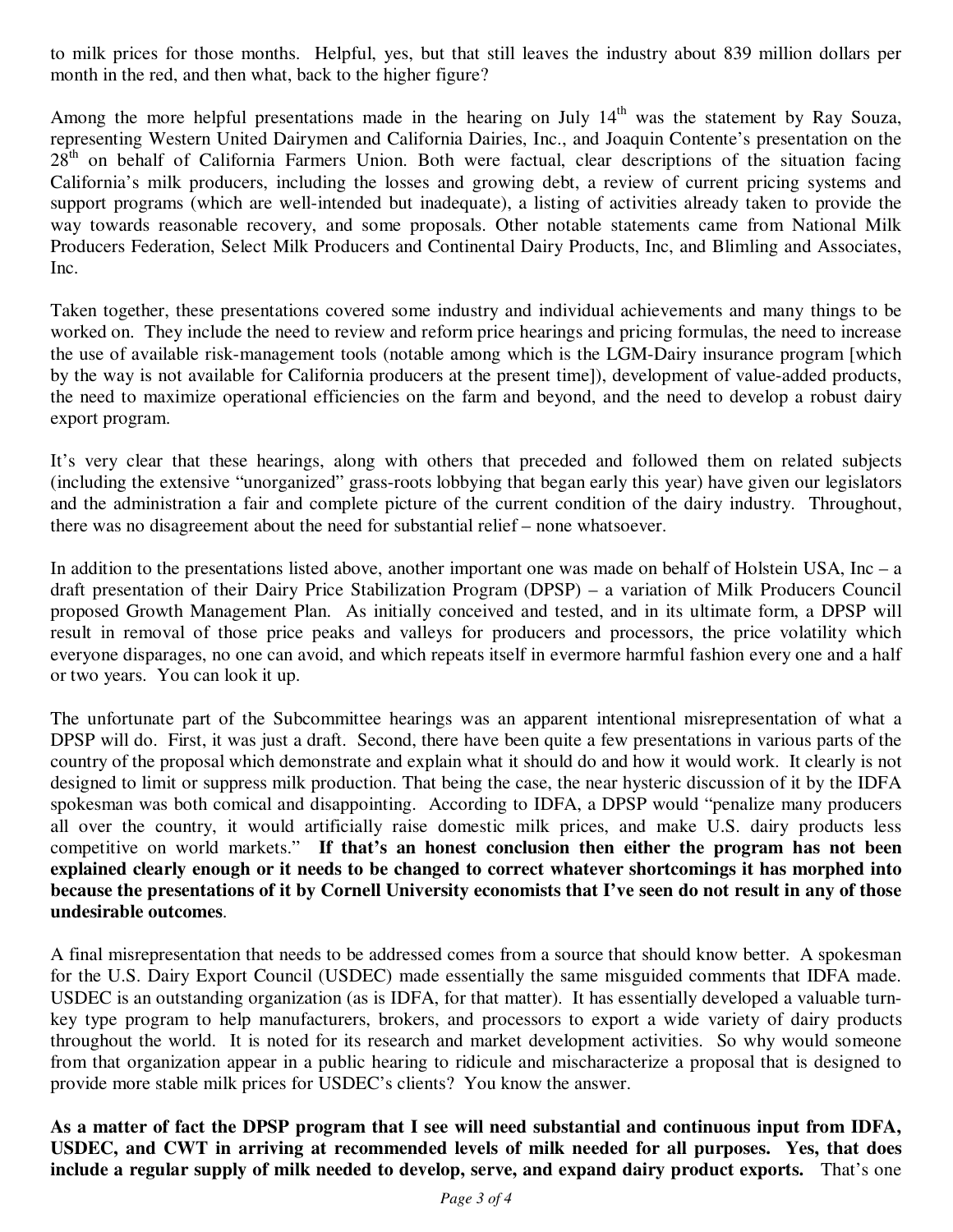to milk prices for those months. Helpful, yes, but that still leaves the industry about 839 million dollars per month in the red, and then what, back to the higher figure?

Among the more helpful presentations made in the hearing on July  $14<sup>th</sup>$  was the statement by Ray Souza, representing Western United Dairymen and California Dairies, Inc., and Joaquin Contente's presentation on the 28<sup>th</sup> on behalf of California Farmers Union. Both were factual, clear descriptions of the situation facing California's milk producers, including the losses and growing debt, a review of current pricing systems and support programs (which are well-intended but inadequate), a listing of activities already taken to provide the way towards reasonable recovery, and some proposals. Other notable statements came from National Milk Producers Federation, Select Milk Producers and Continental Dairy Products, Inc, and Blimling and Associates, Inc.

Taken together, these presentations covered some industry and individual achievements and many things to be worked on. They include the need to review and reform price hearings and pricing formulas, the need to increase the use of available risk-management tools (notable among which is the LGM-Dairy insurance program [which by the way is not available for California producers at the present time]), development of value-added products, the need to maximize operational efficiencies on the farm and beyond, and the need to develop a robust dairy export program.

It's very clear that these hearings, along with others that preceded and followed them on related subjects (including the extensive "unorganized" grass-roots lobbying that began early this year) have given our legislators and the administration a fair and complete picture of the current condition of the dairy industry. Throughout, there was no disagreement about the need for substantial relief – none whatsoever.

In addition to the presentations listed above, another important one was made on behalf of Holstein USA, Inc – a draft presentation of their Dairy Price Stabilization Program (DPSP) – a variation of Milk Producers Council proposed Growth Management Plan. As initially conceived and tested, and in its ultimate form, a DPSP will result in removal of those price peaks and valleys for producers and processors, the price volatility which everyone disparages, no one can avoid, and which repeats itself in evermore harmful fashion every one and a half or two years. You can look it up.

The unfortunate part of the Subcommittee hearings was an apparent intentional misrepresentation of what a DPSP will do. First, it was just a draft. Second, there have been quite a few presentations in various parts of the country of the proposal which demonstrate and explain what it should do and how it would work. It clearly is not designed to limit or suppress milk production. That being the case, the near hysteric discussion of it by the IDFA spokesman was both comical and disappointing. According to IDFA, a DPSP would "penalize many producers all over the country, it would artificially raise domestic milk prices, and make U.S. dairy products less competitive on world markets." **If that's an honest conclusion then either the program has not been explained clearly enough or it needs to be changed to correct whatever shortcomings it has morphed into because the presentations of it by Cornell University economists that I've seen do not result in any of those undesirable outcomes**.

A final misrepresentation that needs to be addressed comes from a source that should know better. A spokesman for the U.S. Dairy Export Council (USDEC) made essentially the same misguided comments that IDFA made. USDEC is an outstanding organization (as is IDFA, for that matter). It has essentially developed a valuable turnkey type program to help manufacturers, brokers, and processors to export a wide variety of dairy products throughout the world. It is noted for its research and market development activities. So why would someone from that organization appear in a public hearing to ridicule and mischaracterize a proposal that is designed to provide more stable milk prices for USDEC's clients? You know the answer.

**As a matter of fact the DPSP program that I see will need substantial and continuous input from IDFA, USDEC, and CWT in arriving at recommended levels of milk needed for all purposes. Yes, that does include a regular supply of milk needed to develop, serve, and expand dairy product exports.** That's one